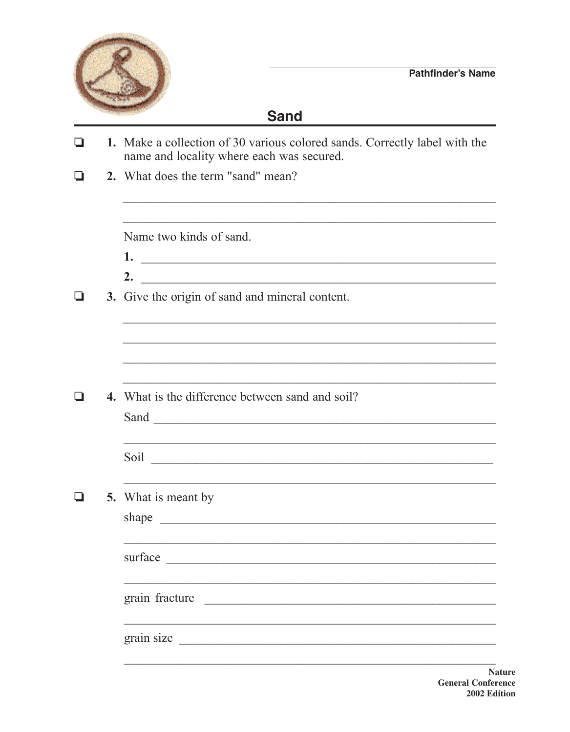

## **Sand**

| l 1 | 1. Make a collection of 30 various colored sands. Correctly label with the<br>name and locality where each was secured.                                                                                                                                                                                                                                                                                                                                                                           |  |  |  |  |  |
|-----|---------------------------------------------------------------------------------------------------------------------------------------------------------------------------------------------------------------------------------------------------------------------------------------------------------------------------------------------------------------------------------------------------------------------------------------------------------------------------------------------------|--|--|--|--|--|
|     | 2. What does the term "sand" mean?                                                                                                                                                                                                                                                                                                                                                                                                                                                                |  |  |  |  |  |
|     | Name two kinds of sand.<br>$1.$ $\overline{\phantom{a}}$ $\overline{\phantom{a}}$ $\overline{\phantom{a}}$ $\overline{\phantom{a}}$ $\overline{\phantom{a}}$ $\overline{\phantom{a}}$ $\overline{\phantom{a}}$ $\overline{\phantom{a}}$ $\overline{\phantom{a}}$ $\overline{\phantom{a}}$ $\overline{\phantom{a}}$ $\overline{\phantom{a}}$ $\overline{\phantom{a}}$ $\overline{\phantom{a}}$ $\overline{\phantom{a}}$ $\overline{\phantom{a}}$ $\overline{\phantom{a}}$ $\overline{\phantom{a}}$ |  |  |  |  |  |
|     | 3. Give the origin of sand and mineral content.                                                                                                                                                                                                                                                                                                                                                                                                                                                   |  |  |  |  |  |
|     | 4. What is the difference between sand and soil?                                                                                                                                                                                                                                                                                                                                                                                                                                                  |  |  |  |  |  |
|     |                                                                                                                                                                                                                                                                                                                                                                                                                                                                                                   |  |  |  |  |  |
|     | <b>5.</b> What is meant by                                                                                                                                                                                                                                                                                                                                                                                                                                                                        |  |  |  |  |  |
|     | surface<br><u> 1980 - Jan Barbara, martin da kasar Amerikaan dan Barbara (j. 1980).</u>                                                                                                                                                                                                                                                                                                                                                                                                           |  |  |  |  |  |
|     | grain fracture<br><u> 1980 - Johann Barn, margaret amerikan ba</u>                                                                                                                                                                                                                                                                                                                                                                                                                                |  |  |  |  |  |
|     | grain size                                                                                                                                                                                                                                                                                                                                                                                                                                                                                        |  |  |  |  |  |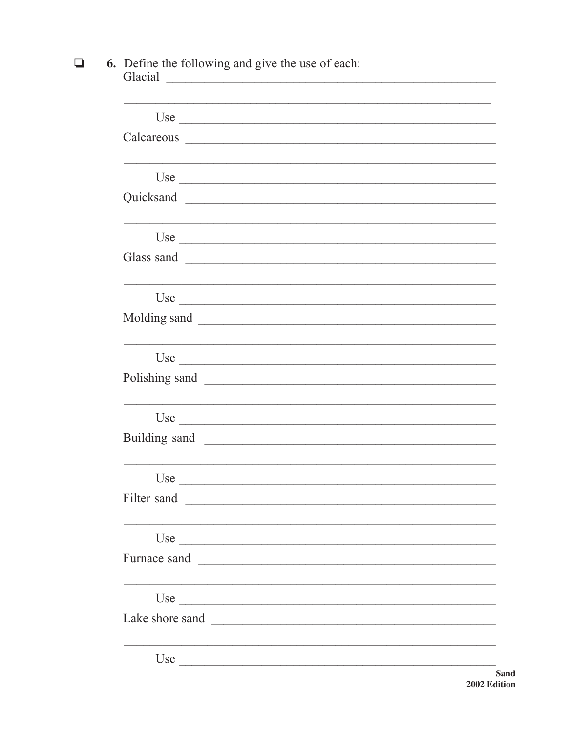## 6. Define the following and give the use of each:<br>Glacial  $\Box$

| Use $\overline{\phantom{a}}$ |                                                             |  |  |
|------------------------------|-------------------------------------------------------------|--|--|
|                              |                                                             |  |  |
|                              |                                                             |  |  |
| Use $\overline{\phantom{a}}$ |                                                             |  |  |
| Quicksand                    |                                                             |  |  |
|                              |                                                             |  |  |
| Use $\overline{\phantom{a}}$ |                                                             |  |  |
|                              |                                                             |  |  |
|                              |                                                             |  |  |
| Use $\overline{\phantom{a}}$ |                                                             |  |  |
| Molding sand                 |                                                             |  |  |
|                              |                                                             |  |  |
| Use $\overline{\phantom{a}}$ |                                                             |  |  |
| Polishing sand               |                                                             |  |  |
|                              | <u> 1989 - Johann Stoff, amerikansk politiker (d. 1989)</u> |  |  |
| Use                          |                                                             |  |  |
| Building sand                |                                                             |  |  |
|                              |                                                             |  |  |
| Use $\qquad \qquad$          |                                                             |  |  |
| Filter sand                  |                                                             |  |  |
|                              |                                                             |  |  |
| Use $\overline{\phantom{a}}$ |                                                             |  |  |
| Furnace sand                 | <u> 1989 - Andrea Andrewski, fransk politik (d. 1989)</u>   |  |  |
|                              |                                                             |  |  |
|                              |                                                             |  |  |
| Lake shore sand              |                                                             |  |  |
|                              |                                                             |  |  |
| Use                          |                                                             |  |  |